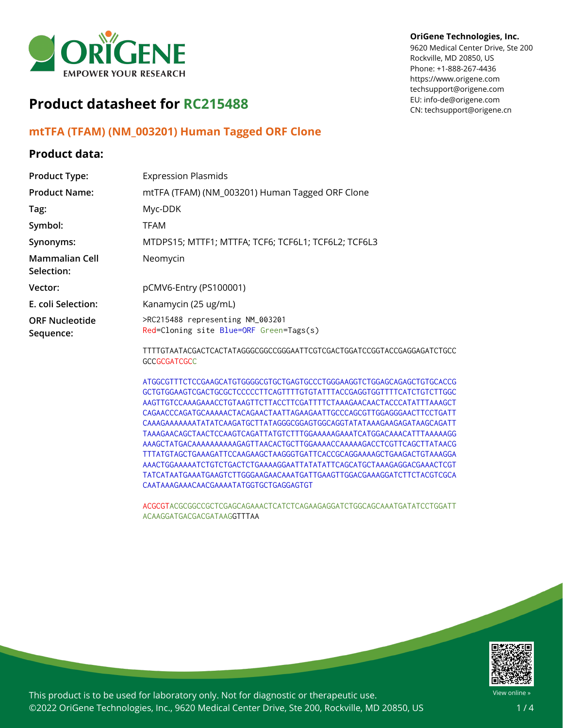

# **Product datasheet for RC215488**

### **mtTFA (TFAM) (NM\_003201) Human Tagged ORF Clone**

#### **Product data:**

#### Rockville, MD 20850, US Phone: +1-888-267-4436 https://www.origene.com techsupport@origene.com EU: info-de@origene.com

**OriGene Technologies, Inc.** 9620 Medical Center Drive, Ste 200

CN: techsupport@origene.cn

| <b>Product Type:</b>                | <b>Expression Plasmids</b>                                                                    |
|-------------------------------------|-----------------------------------------------------------------------------------------------|
| <b>Product Name:</b>                | mtTFA (TFAM) (NM_003201) Human Tagged ORF Clone                                               |
| Tag:                                | Myc-DDK                                                                                       |
| Symbol:                             | TFAM                                                                                          |
| Synonyms:                           | MTDPS15; MTTF1; MTTFA; TCF6; TCF6L1; TCF6L2; TCF6L3                                           |
| <b>Mammalian Cell</b><br>Selection: | Neomycin                                                                                      |
| Vector:                             | pCMV6-Entry (PS100001)                                                                        |
| E. coli Selection:                  | Kanamycin (25 ug/mL)                                                                          |
| <b>ORF Nucleotide</b><br>Sequence:  | >RC215488 representing NM_003201<br>Red=Cloning site Blue=ORF Green=Tags(s)                   |
|                                     | TTTTGTAATACGACTCACTATAGGGCGGCCGGGAATTCGTCGACTGGATCCGGTACCGAGGAGATCTGCC<br><b>GCCGCGATCGCC</b> |

ATGGCGTTTCTCCGAAGCATGTGGGGCGTGCTGAGTGCCCTGGGAAGGTCTGGAGCAGAGCTGTGCACCG GCTGTGGAAGTCGACTGCGCTCCCCCTTCAGTTTTGTGTATTTACCGAGGTGGTTTTCATCTGTCTTGGC AAGTTGTCCAAAGAAACCTGTAAGTTCTTACCTTCGATTTTCTAAAGAACAACTACCCATATTTAAAGCT CAGAACCCAGATGCAAAAACTACAGAACTAATTAGAAGAATTGCCCAGCGTTGGAGGGAACTTCCTGATT CAAAGAAAAAAATATATCAAGATGCTTATAGGGCGGAGTGGCAGGTATATAAAGAAGAGATAAGCAGATT TAAAGAACAGCTAACTCCAAGTCAGATTATGTCTTTGGAAAAAGAAATCATGGACAAACATTTAAAAAGG AAAGCTATGACAAAAAAAAAAGAGTTAACACTGCTTGGAAAACCAAAAAGACCTCGTTCAGCTTATAACG TTTATGTAGCTGAAAGATTCCAAGAAGCTAAGGGTGATTCACCGCAGGAAAAGCTGAAGACTGTAAAGGA AAACTGGAAAAATCTGTCTGACTCTGAAAAGGAATTATATATTCAGCATGCTAAAGAGGACGAAACTCGT TATCATAATGAAATGAAGTCTTGGGAAGAACAAATGATTGAAGTTGGACGAAAGGATCTTCTACGTCGCA CAATAAAGAAACAACGAAAATATGGTGCTGAGGAGTGT

ACGCGTACGCGGCCGCTCGAGCAGAAACTCATCTCAGAAGAGGATCTGGCAGCAAATGATATCCTGGATT ACAAGGATGACGACGATAAGGTTTAA



This product is to be used for laboratory only. Not for diagnostic or therapeutic use. ©2022 OriGene Technologies, Inc., 9620 Medical Center Drive, Ste 200, Rockville, MD 20850, US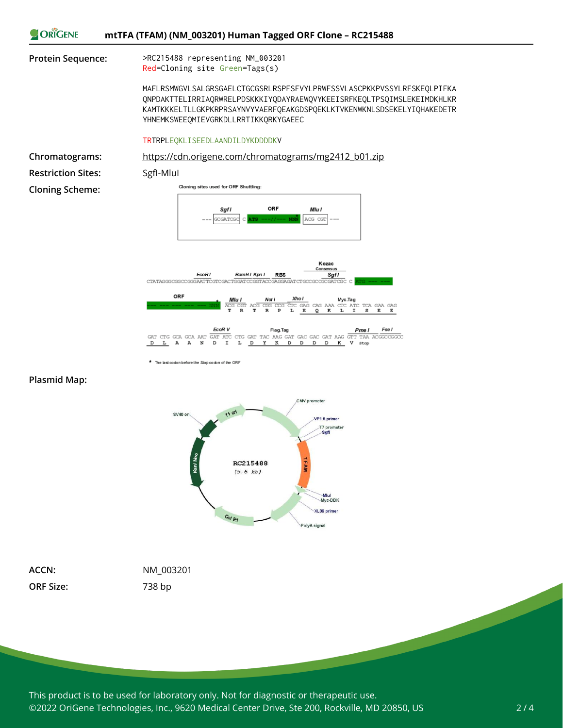



The last codon before the Stop codon of the ORF





**ORF Size:** 738 bp

**ACCN:** NM\_003201

This product is to be used for laboratory only. Not for diagnostic or therapeutic use. ©2022 OriGene Technologies, Inc., 9620 Medical Center Drive, Ste 200, Rockville, MD 20850, US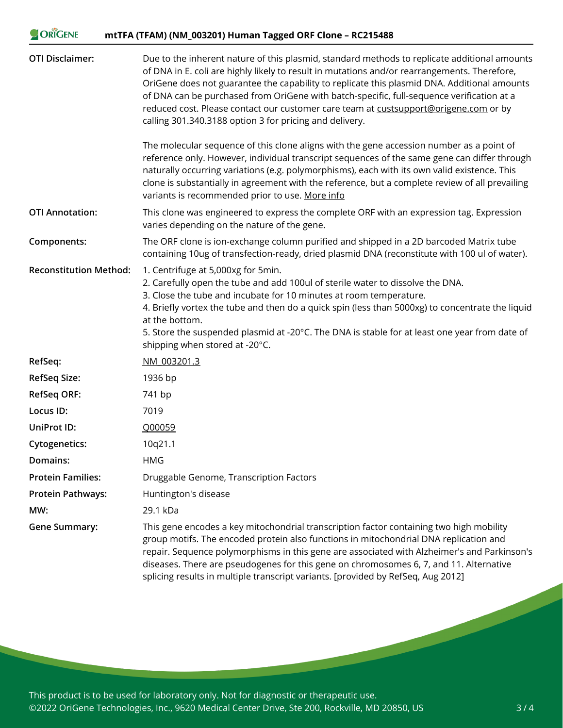| ORIGENE                       | mtTFA (TFAM) (NM_003201) Human Tagged ORF Clone - RC215488                                                                                                                                                                                                                                                                                                                                                                                                                                                                                                                                                                                                                                                                                                                                                                                                                                                                                 |
|-------------------------------|--------------------------------------------------------------------------------------------------------------------------------------------------------------------------------------------------------------------------------------------------------------------------------------------------------------------------------------------------------------------------------------------------------------------------------------------------------------------------------------------------------------------------------------------------------------------------------------------------------------------------------------------------------------------------------------------------------------------------------------------------------------------------------------------------------------------------------------------------------------------------------------------------------------------------------------------|
| <b>OTI Disclaimer:</b>        | Due to the inherent nature of this plasmid, standard methods to replicate additional amounts<br>of DNA in E. coli are highly likely to result in mutations and/or rearrangements. Therefore,<br>OriGene does not guarantee the capability to replicate this plasmid DNA. Additional amounts<br>of DNA can be purchased from OriGene with batch-specific, full-sequence verification at a<br>reduced cost. Please contact our customer care team at custsupport@origene.com or by<br>calling 301.340.3188 option 3 for pricing and delivery.<br>The molecular sequence of this clone aligns with the gene accession number as a point of<br>reference only. However, individual transcript sequences of the same gene can differ through<br>naturally occurring variations (e.g. polymorphisms), each with its own valid existence. This<br>clone is substantially in agreement with the reference, but a complete review of all prevailing |
|                               | variants is recommended prior to use. More info                                                                                                                                                                                                                                                                                                                                                                                                                                                                                                                                                                                                                                                                                                                                                                                                                                                                                            |
| <b>OTI Annotation:</b>        | This clone was engineered to express the complete ORF with an expression tag. Expression<br>varies depending on the nature of the gene.                                                                                                                                                                                                                                                                                                                                                                                                                                                                                                                                                                                                                                                                                                                                                                                                    |
| Components:                   | The ORF clone is ion-exchange column purified and shipped in a 2D barcoded Matrix tube<br>containing 10ug of transfection-ready, dried plasmid DNA (reconstitute with 100 ul of water).                                                                                                                                                                                                                                                                                                                                                                                                                                                                                                                                                                                                                                                                                                                                                    |
| <b>Reconstitution Method:</b> | 1. Centrifuge at 5,000xg for 5min.<br>2. Carefully open the tube and add 100ul of sterile water to dissolve the DNA.<br>3. Close the tube and incubate for 10 minutes at room temperature.<br>4. Briefly vortex the tube and then do a quick spin (less than 5000xg) to concentrate the liquid<br>at the bottom.<br>5. Store the suspended plasmid at -20°C. The DNA is stable for at least one year from date of<br>shipping when stored at -20°C.                                                                                                                                                                                                                                                                                                                                                                                                                                                                                        |
| RefSeq:                       | NM 003201.3                                                                                                                                                                                                                                                                                                                                                                                                                                                                                                                                                                                                                                                                                                                                                                                                                                                                                                                                |
| RefSeq Size:                  | 1936 bp                                                                                                                                                                                                                                                                                                                                                                                                                                                                                                                                                                                                                                                                                                                                                                                                                                                                                                                                    |
| <b>RefSeq ORF:</b>            | 741 bp                                                                                                                                                                                                                                                                                                                                                                                                                                                                                                                                                                                                                                                                                                                                                                                                                                                                                                                                     |
| Locus ID:                     | 7019                                                                                                                                                                                                                                                                                                                                                                                                                                                                                                                                                                                                                                                                                                                                                                                                                                                                                                                                       |
| <b>UniProt ID:</b>            | Q00059                                                                                                                                                                                                                                                                                                                                                                                                                                                                                                                                                                                                                                                                                                                                                                                                                                                                                                                                     |
| <b>Cytogenetics:</b>          | 10q21.1                                                                                                                                                                                                                                                                                                                                                                                                                                                                                                                                                                                                                                                                                                                                                                                                                                                                                                                                    |
| Domains:                      | <b>HMG</b>                                                                                                                                                                                                                                                                                                                                                                                                                                                                                                                                                                                                                                                                                                                                                                                                                                                                                                                                 |
| <b>Protein Families:</b>      | Druggable Genome, Transcription Factors                                                                                                                                                                                                                                                                                                                                                                                                                                                                                                                                                                                                                                                                                                                                                                                                                                                                                                    |
| Protein Pathways:             | Huntington's disease                                                                                                                                                                                                                                                                                                                                                                                                                                                                                                                                                                                                                                                                                                                                                                                                                                                                                                                       |
| MW:                           | 29.1 kDa                                                                                                                                                                                                                                                                                                                                                                                                                                                                                                                                                                                                                                                                                                                                                                                                                                                                                                                                   |
| <b>Gene Summary:</b>          | This gene encodes a key mitochondrial transcription factor containing two high mobility<br>group motifs. The encoded protein also functions in mitochondrial DNA replication and                                                                                                                                                                                                                                                                                                                                                                                                                                                                                                                                                                                                                                                                                                                                                           |

 $\n **Ob** *CCENIE*\n$ 

repair. Sequence polymorphisms in this gene are associated with Alzheimer's and Parkinson's diseases. There are pseudogenes for this gene on chromosomes 6, 7, and 11. Alternative splicing results in multiple transcript variants. [provided by RefSeq, Aug 2012]

This product is to be used for laboratory only. Not for diagnostic or therapeutic use. ©2022 OriGene Technologies, Inc., 9620 Medical Center Drive, Ste 200, Rockville, MD 20850, US